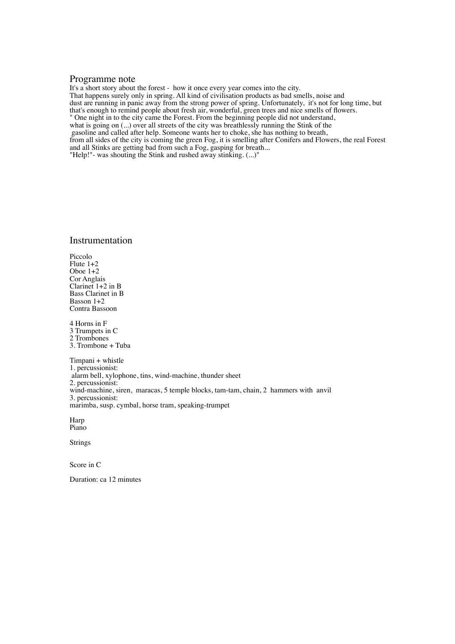## Programme note

It's a short story about the forest - how it once every year comes into the city. That happens surely only in spring. All kind of civilisation products as bad smells, noise and dust are running in panic away from the strong power of spring. Unfortunately, it's not for long time, but that's enough to remind people about fresh air, wonderful, green trees and nice smells of flowers. " One night in to the city came the Forest. From the beginning people did not understand, what is going on (...) over all streets of the city was breathlessly running the Stink of the gasoline and called after help. Someone wants her to choke, she has nothing to breath, from all sides of the city is coming the green Fog, it is smelling after Conifers and Flowers, the real Forest and all Stinks are getting bad from such a Fog, gasping for breath... "Help!"- was shouting the Stink and rushed away stinking. (...)"

## Instrumentation

Piccolo Flute 1+2 Oboe 1+2 Cor Anglais Clarinet  $1+2$  in B Bass Clarinet in B Basson 1+2 Contra Bassoon

4 Horns in F 3 Trumpets in C 2 Trombones 3. Trombone + Tuba

Timpani + whistle 1. percussionist: alarm bell, xylophone, tins, wind-machine, thunder sheet 2. percussionist: wind-machine, siren, maracas, 5 temple blocks, tam-tam, chain, 2 hammers with anvil 3. percussionist: marimba, susp. cymbal, horse tram, speaking-trumpet

Harp Piano

Strings

Score in C

Duration: ca 12 minutes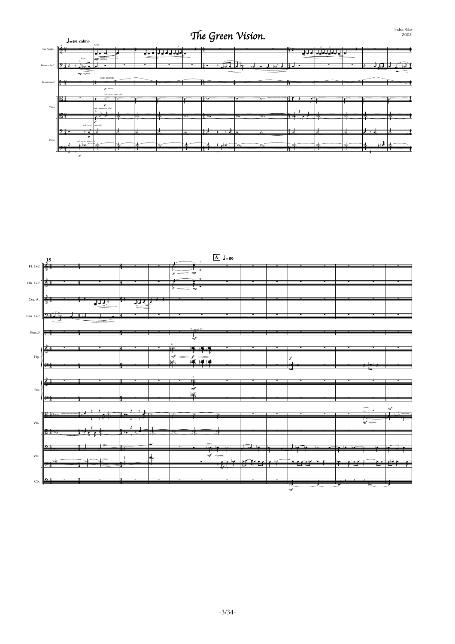## The Green Vision.

|              | $J = 54$ calmo                                    |                                                                          |                  |                                         | ັ                                    |                        |                           |                                  |                                        |
|--------------|---------------------------------------------------|--------------------------------------------------------------------------|------------------|-----------------------------------------|--------------------------------------|------------------------|---------------------------|----------------------------------|----------------------------------------|
| Cor Anglais  | 降                                                 | Solo<br>₹₹                                                               | ₹₹₹<br>—<br>H    | ∓                                       |                                      |                        | ₩<br>ਜ਼                   | $\overline{\phantom{0}}$<br>सम्म |                                        |
| Bassoon 1+2  | Solo<br>M.J. J<br>$-1.3$<br>_<br>$mp$ espress.    | $mp$ espress.                                                            |                  | Ħ                                       | $\pi$ , by                           |                        |                           |                                  | च्चेर<br>$\overline{\phantom{a}}$<br>= |
| Percussion 2 |                                                   | Wind machine<br>$p$ dolce                                                |                  |                                         |                                      |                        |                           |                                  |                                        |
| Viola        | 勝<br>曙                                            | sul tasto non vibr.<br>z<br>sul tasto non vibr.<br>$\overline{1}$<br>,,, | $\sigma_{\rm e}$ | 14 o<br>$\overline{\mathcal{L}_{\phi}}$ | ⊺∦ ∝շ<br>$\sigma_{0}$                | ŀ<br>$\sigma_{\alpha}$ | Ħ<br>$\frac{3}{2}$ .<br>- | $\overline{\phantom{a}}$<br>₹.   | ⋝<br>توات                              |
| Cello        | sul tasto non vibr.<br>D J<br>sul tasto, non vibr |                                                                          |                  | $\overline{1}$<br>⇁<br>à                | $\overline{\phantom{a}}$<br>$\alpha$ |                        | 曝                         | —<br>≔                           | ┱<br>Đ<br>厈                            |



-3/34-

Indra Riše<br>2002